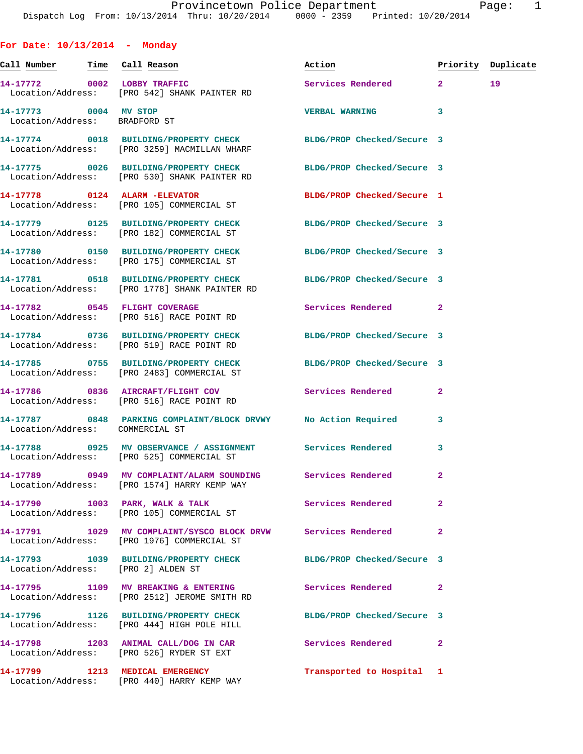**For Date: 10/13/2014 - Monday Call Number Time Call Reason Action Priority Duplicate 14-17772 0002 LOBBY TRAFFIC Services Rendered 2 19**  Location/Address: [PRO 542] SHANK PAINTER RD **14-17773 0004 MV STOP VERBAL WARNING 3**  Location/Address: BRADFORD ST **14-17774 0018 BUILDING/PROPERTY CHECK BLDG/PROP Checked/Secure 3**  Location/Address: [PRO 3259] MACMILLAN WHARF **14-17775 0026 BUILDING/PROPERTY CHECK BLDG/PROP Checked/Secure 3**  Location/Address: [PRO 530] SHANK PAINTER RD **14-17778 0124 ALARM -ELEVATOR BLDG/PROP Checked/Secure 1**  Location/Address: [PRO 105] COMMERCIAL ST **14-17779 0125 BUILDING/PROPERTY CHECK BLDG/PROP Checked/Secure 3**  Location/Address: [PRO 182] COMMERCIAL ST **14-17780 0150 BUILDING/PROPERTY CHECK BLDG/PROP Checked/Secure 3**  Location/Address: [PRO 175] COMMERCIAL ST **14-17781 0518 BUILDING/PROPERTY CHECK BLDG/PROP Checked/Secure 3**  Location/Address: [PRO 1778] SHANK PAINTER RD **14-17782 0545 FLIGHT COVERAGE Services Rendered 2**  Location/Address: [PRO 516] RACE POINT RD **14-17784 0736 BUILDING/PROPERTY CHECK BLDG/PROP Checked/Secure 3**  Location/Address: [PRO 519] RACE POINT RD **14-17785 0755 BUILDING/PROPERTY CHECK BLDG/PROP Checked/Secure 3**  Location/Address: [PRO 2483] COMMERCIAL ST **14-17786 0836 AIRCRAFT/FLIGHT COV Services Rendered 2**  Location/Address: [PRO 516] RACE POINT RD **14-17787 0848 PARKING COMPLAINT/BLOCK DRVWY No Action Required 3**  Location/Address: COMMERCIAL ST **14-17788 0925 MV OBSERVANCE / ASSIGNMENT Services Rendered 3**  Location/Address: [PRO 525] COMMERCIAL ST **14-17789 0949 MV COMPLAINT/ALARM SOUNDING Services Rendered 2**  Location/Address: [PRO 1574] HARRY KEMP WAY 14-17790 1003 PARK, WALK & TALK **Services Rendered** 2 Location/Address: [PRO 105] COMMERCIAL ST **14-17791 1029 MV COMPLAINT/SYSCO BLOCK DRVW Services Rendered 2**  Location/Address: [PRO 1976] COMMERCIAL ST **14-17793 1039 BUILDING/PROPERTY CHECK BLDG/PROP Checked/Secure 3**  Location/Address: [PRO 2] ALDEN ST **14-17795 1109 MV BREAKING & ENTERING Services Rendered 2**  Location/Address: [PRO 2512] JEROME SMITH RD **14-17796 1126 BUILDING/PROPERTY CHECK BLDG/PROP Checked/Secure 3**  Location/Address: [PRO 444] HIGH POLE HILL

**14-17798 1203 ANIMAL CALL/DOG IN CAR Services Rendered 2**  Location/Address: [PRO 526] RYDER ST EXT

Location/Address: [PRO 440] HARRY KEMP WAY

**14-17799 1213 MEDICAL EMERGENCY Transported to Hospital 1**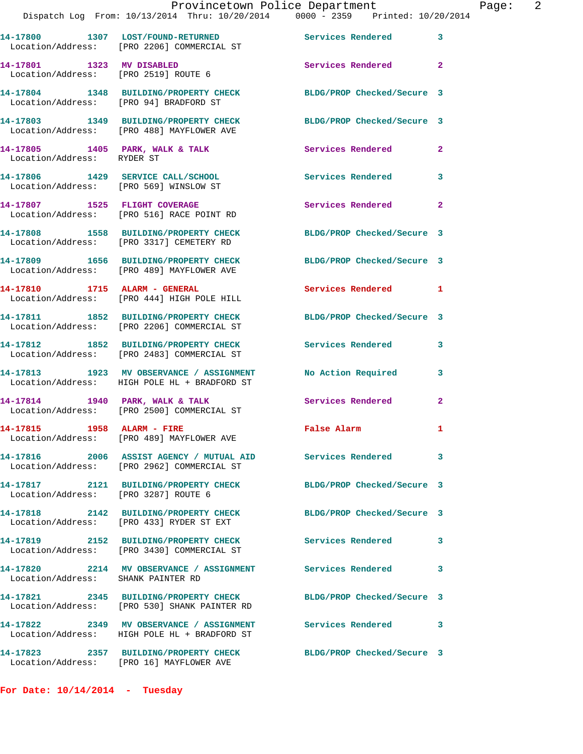|                                        |                                                                                                            | Provincetown Police Department                                                 |                |
|----------------------------------------|------------------------------------------------------------------------------------------------------------|--------------------------------------------------------------------------------|----------------|
|                                        |                                                                                                            | Dispatch Log From: 10/13/2014 Thru: 10/20/2014 0000 - 2359 Printed: 10/20/2014 |                |
|                                        | 14-17800 1307 LOST/FOUND-RETURNED Services Rendered<br>Location/Address: [PRO 2206] COMMERCIAL ST          |                                                                                | 3              |
| 14-17801 1323 MV DISABLED              | Location/Address: [PRO 2519] ROUTE 6                                                                       | Services Rendered                                                              | $\overline{2}$ |
| Location/Address: [PRO 94] BRADFORD ST | 14-17804 1348 BUILDING/PROPERTY CHECK                                                                      | BLDG/PROP Checked/Secure 3                                                     |                |
|                                        | Location/Address: [PRO 488] MAYFLOWER AVE                                                                  | 14-17803 1349 BUILDING/PROPERTY CHECK BLDG/PROP Checked/Secure 3               |                |
| Location/Address: RYDER ST             | 14-17805 1405 PARK, WALK & TALK                                                                            | <b>Services Rendered</b>                                                       | $\mathbf{2}$   |
| Location/Address: [PRO 569] WINSLOW ST | 14-17806 1429 SERVICE CALL/SCHOOL                                                                          | Services Rendered                                                              | 3              |
|                                        | 14-17807 1525 FLIGHT COVERAGE<br>Location/Address: [PRO 516] RACE POINT RD                                 | Services Rendered                                                              | $\overline{a}$ |
|                                        | 14-17808 1558 BUILDING/PROPERTY CHECK<br>Location/Address: [PRO 3317] CEMETERY RD                          | BLDG/PROP Checked/Secure 3                                                     |                |
|                                        | 14-17809 1656 BUILDING/PROPERTY CHECK<br>Location/Address: [PRO 489] MAYFLOWER AVE                         | BLDG/PROP Checked/Secure 3                                                     |                |
|                                        | 14-17810 1715 ALARM - GENERAL<br>Location/Address: [PRO 444] HIGH POLE HILL                                | <b>Services Rendered</b>                                                       | 1              |
|                                        | 14-17811 1852 BUILDING/PROPERTY CHECK<br>Location/Address: [PRO 2206] COMMERCIAL ST                        | BLDG/PROP Checked/Secure 3                                                     |                |
|                                        | 14-17812 1852 BUILDING/PROPERTY CHECK<br>Location/Address: [PRO 2483] COMMERCIAL ST                        | <b>Services Rendered</b>                                                       | 3              |
|                                        | 14-17813 1923 MV OBSERVANCE / ASSIGNMENT<br>Location/Address: HIGH POLE HL + BRADFORD ST                   | <b>No Action Required</b>                                                      | 3              |
|                                        | 14-17814 1940 PARK, WALK & TALK<br>Location/Address: [PRO 2500] COMMERCIAL ST                              | <b>Services Rendered</b>                                                       | $\overline{2}$ |
| 14-17815 1958 ALARM - FIRE             | Location/Address: [PRO 489] MAYFLOWER AVE                                                                  | <b>False Alarm</b>                                                             |                |
|                                        | Location/Address: [PRO 2962] COMMERCIAL ST                                                                 |                                                                                | 3              |
| Location/Address: [PRO 3287] ROUTE 6   | 14-17817 2121 BUILDING/PROPERTY CHECK                                                                      | BLDG/PROP Checked/Secure 3                                                     |                |
|                                        | 14-17818 2142 BUILDING/PROPERTY CHECK<br>Location/Address: [PRO 433] RYDER ST EXT                          | BLDG/PROP Checked/Secure 3                                                     |                |
|                                        | 14-17819 2152 BUILDING/PROPERTY CHECK<br>Location/Address: [PRO 3430] COMMERCIAL ST                        | <b>Services Rendered</b>                                                       | 3              |
| Location/Address: SHANK PAINTER RD     | 14-17820 2214 MV OBSERVANCE / ASSIGNMENT Services Rendered                                                 |                                                                                | 3              |
|                                        | Location/Address: [PRO 530] SHANK PAINTER RD                                                               | 14-17821 2345 BUILDING/PROPERTY CHECK BLDG/PROP Checked/Secure 3               |                |
|                                        | 14-17822 2349 MV OBSERVANCE / ASSIGNMENT Services Rendered<br>Location/Address: HIGH POLE HL + BRADFORD ST |                                                                                | 3              |
|                                        | Location/Address: [PRO 16] MAYFLOWER AVE                                                                   | 14-17823 2357 BUILDING/PROPERTY CHECK BLDG/PROP Checked/Secure 3               |                |

**For Date: 10/14/2014 - Tuesday**

Page: 2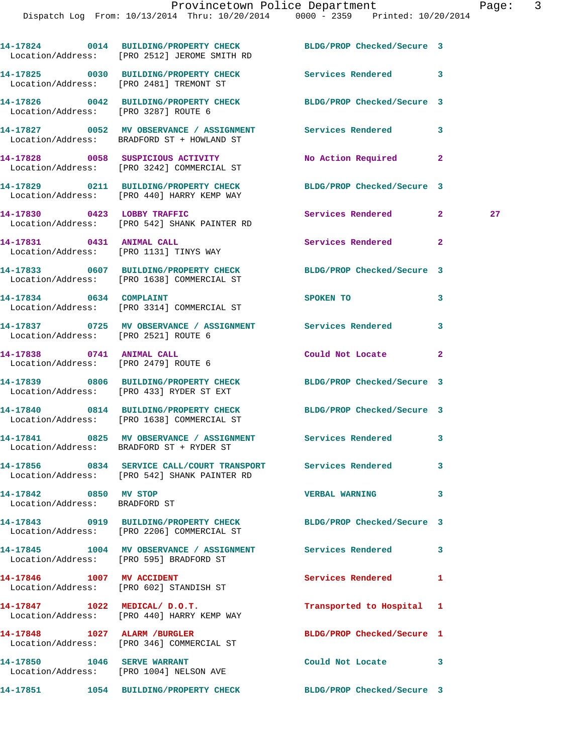|                                                        | 14-17824 0014 BUILDING/PROPERTY CHECK BLDG/PROP Checked/Secure 3<br>Location/Address: [PRO 2512] JEROME SMITH RD |                            |                |    |
|--------------------------------------------------------|------------------------------------------------------------------------------------------------------------------|----------------------------|----------------|----|
|                                                        | 14-17825 0030 BUILDING/PROPERTY CHECK Services Rendered 3<br>Location/Address: [PRO 2481] TREMONT ST             |                            |                |    |
|                                                        | 14-17826 0042 BUILDING/PROPERTY CHECK BLDG/PROP Checked/Secure 3<br>Location/Address: [PRO 3287] ROUTE 6         |                            |                |    |
|                                                        | 14-17827 0052 MV OBSERVANCE / ASSIGNMENT Services Rendered 3<br>Location/Address: BRADFORD ST + HOWLAND ST       |                            |                |    |
|                                                        | 14-17828 0058 SUSPICIOUS ACTIVITY<br>Location/Address: [PRO 3242] COMMERCIAL ST                                  | No Action Required         | 2              |    |
|                                                        | 14-17829 0211 BUILDING/PROPERTY CHECK<br>Location/Address: [PRO 440] HARRY KEMP WAY                              | BLDG/PROP Checked/Secure 3 |                |    |
|                                                        | 14-17830 0423 LOBBY TRAFFIC<br>Location/Address: [PRO 542] SHANK PAINTER RD                                      | Services Rendered 2        |                | 27 |
|                                                        | 14-17831 0431 ANIMAL CALL<br>Location/Address: [PRO 1131] TINYS WAY                                              | Services Rendered          | $\mathbf{2}$   |    |
|                                                        | 14-17833 0607 BUILDING/PROPERTY CHECK<br>Location/Address: [PRO 1638] COMMERCIAL ST                              | BLDG/PROP Checked/Secure 3 |                |    |
|                                                        | 14-17834 0634 COMPLAINT<br>Location/Address: [PRO 3314] COMMERCIAL ST                                            | SPOKEN TO                  | 3              |    |
|                                                        | 14-17837 0725 MV OBSERVANCE / ASSIGNMENT Services Rendered<br>Location/Address: [PRO 2521] ROUTE 6               |                            | 3              |    |
|                                                        | 14-17838 0741 ANIMAL CALL<br>Location/Address: [PRO 2479] ROUTE 6                                                | Could Not Locate           | $\overline{2}$ |    |
|                                                        | 14-17839 0806 BUILDING/PROPERTY CHECK BLDG/PROP Checked/Secure 3<br>Location/Address: [PRO 433] RYDER ST EXT     |                            |                |    |
|                                                        | 14-17840 0814 BUILDING/PROPERTY CHECK<br>Location/Address: [PRO 1638] COMMERCIAL ST                              | BLDG/PROP Checked/Secure 3 |                |    |
|                                                        | 14-17841 0825 MV OBSERVANCE / ASSIGNMENT Services Rendered 3<br>Location/Address: BRADFORD ST + RYDER ST         |                            |                |    |
|                                                        | 14-17856 6834 SERVICE CALL/COURT TRANSPORT Services Rendered<br>Location/Address: [PRO 542] SHANK PAINTER RD     |                            | 3              |    |
| 14-17842 0850 MV STOP<br>Location/Address: BRADFORD ST |                                                                                                                  | <b>VERBAL WARNING</b>      | 3              |    |
|                                                        | 14-17843 0919 BUILDING/PROPERTY CHECK BLDG/PROP Checked/Secure 3<br>Location/Address: [PRO 2206] COMMERCIAL ST   |                            |                |    |
|                                                        | 14-17845 1004 MV OBSERVANCE / ASSIGNMENT Services Rendered<br>Location/Address: [PRO 595] BRADFORD ST            |                            | 3              |    |
|                                                        | 14-17846 1007 MV ACCIDENT<br>Location/Address: [PRO 602] STANDISH ST                                             | Services Rendered          | 1              |    |
|                                                        | 14-17847 1022 MEDICAL/ D.O.T.<br>Location/Address: [PRO 440] HARRY KEMP WAY                                      | Transported to Hospital 1  |                |    |
|                                                        | 14-17848 1027 ALARM / BURGLER<br>Location/Address: [PRO 346] COMMERCIAL ST                                       | BLDG/PROP Checked/Secure 1 |                |    |
| 14-17850 1046 SERVE WARRANT                            | Location/Address: [PRO 1004] NELSON AVE                                                                          | Could Not Locate 3         |                |    |
|                                                        | 14-17851 1054 BUILDING/PROPERTY CHECK                                                                            | BLDG/PROP Checked/Secure 3 |                |    |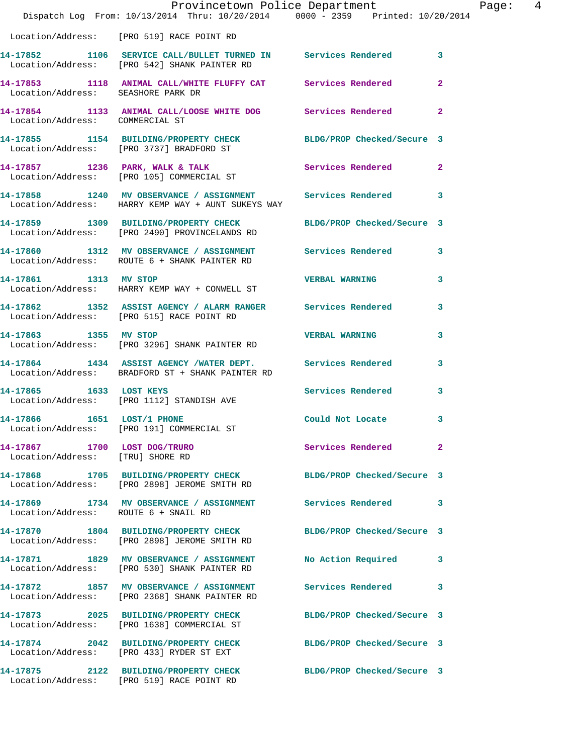|                                                                  | Dispatch Log From: 10/13/2014 Thru: 10/20/2014 0000 - 2359 Printed: 10/20/2014                                     | Provincetown Police Department | Page: 4      |
|------------------------------------------------------------------|--------------------------------------------------------------------------------------------------------------------|--------------------------------|--------------|
|                                                                  | Location/Address: [PRO 519] RACE POINT RD                                                                          |                                |              |
|                                                                  | 14-17852 1106 SERVICE CALL/BULLET TURNED IN Services Rendered 3<br>Location/Address: [PRO 542] SHANK PAINTER RD    |                                |              |
| Location/Address: SEASHORE PARK DR                               | 14-17853 1118 ANIMAL CALL/WHITE FLUFFY CAT Services Rendered 2                                                     |                                |              |
| Location/Address: COMMERCIAL ST                                  | 14-17854 1133 ANIMAL CALL/LOOSE WHITE DOG Services Rendered 2                                                      |                                |              |
|                                                                  | 14-17855 1154 BUILDING/PROPERTY CHECK BLDG/PROP Checked/Secure 3<br>Location/Address: [PRO 3737] BRADFORD ST       |                                |              |
|                                                                  | 14-17857 1236 PARK, WALK & TALK Services Rendered 2<br>Location/Address: [PRO 105] COMMERCIAL ST                   |                                |              |
|                                                                  | 14-17858 1240 MV OBSERVANCE / ASSIGNMENT Services Rendered 3<br>Location/Address: HARRY KEMP WAY + AUNT SUKEYS WAY |                                |              |
|                                                                  | 14-17859 1309 BUILDING/PROPERTY CHECK BLDG/PROP Checked/Secure 3<br>Location/Address: [PRO 2490] PROVINCELANDS RD  |                                |              |
|                                                                  | 14-17860 1312 MV OBSERVANCE / ASSIGNMENT Services Rendered 3<br>Location/Address: ROUTE 6 + SHANK PAINTER RD       |                                |              |
| 14-17861 1313 MV STOP                                            | Location/Address: HARRY KEMP WAY + CONWELL ST                                                                      | <b>VERBAL WARNING</b>          | $\mathbf{3}$ |
|                                                                  | 14-17862 1352 ASSIST AGENCY / ALARM RANGER Services Rendered 3<br>Location/Address: [PRO 515] RACE POINT RD        |                                |              |
| 14-17863 1355 MV STOP                                            | Location/Address: [PRO 3296] SHANK PAINTER RD                                                                      | <b>VERBAL WARNING</b>          | 3            |
|                                                                  | 14-17864 1434 ASSIST AGENCY /WATER DEPT. Services Rendered 3<br>Location/Address: BRADFORD ST + SHANK PAINTER RD   |                                |              |
|                                                                  | 14-17865 1633 LOST KEYS<br>Location/Address: [PRO 1112] STANDISH AVE                                               | Services Rendered              | $\mathbf{3}$ |
| 14-17866 1651 LOST/1 PHONE                                       | Location/Address: [PRO 191] COMMERCIAL ST                                                                          | Could Not Locate 3             |              |
| 14-17867 1700 LOST DOG/TRURO<br>Location/Address: [TRU] SHORE RD |                                                                                                                    | Services Rendered              | $\mathbf{2}$ |
|                                                                  | 14-17868 1705 BUILDING/PROPERTY CHECK<br>Location/Address: [PRO 2898] JEROME SMITH RD                              | BLDG/PROP Checked/Secure 3     |              |
| Location/Address: ROUTE 6 + SNAIL RD                             | 14-17869 1734 MV OBSERVANCE / ASSIGNMENT Services Rendered 3                                                       |                                |              |
|                                                                  | 14-17870 1804 BUILDING/PROPERTY CHECK BLDG/PROP Checked/Secure 3<br>Location/Address: [PRO 2898] JEROME SMITH RD   |                                |              |
|                                                                  | 14-17871 1829 MV OBSERVANCE / ASSIGNMENT<br>Location/Address: [PRO 530] SHANK PAINTER RD                           | No Action Required 3           |              |
|                                                                  | 14-17872 1857 MV OBSERVANCE / ASSIGNMENT Services Rendered 3<br>Location/Address: [PRO 2368] SHANK PAINTER RD      |                                |              |
|                                                                  | 14-17873 2025 BUILDING/PROPERTY CHECK<br>Location/Address: [PRO 1638] COMMERCIAL ST                                | BLDG/PROP Checked/Secure 3     |              |
|                                                                  | 14-17874 2042 BUILDING/PROPERTY CHECK BLDG/PROP Checked/Secure 3<br>Location/Address: [PRO 433] RYDER ST EXT       |                                |              |
|                                                                  | 14-17875 2122 BUILDING/PROPERTY CHECK BLDG/PROP Checked/Secure 3<br>Location/Address: [PRO 519] RACE POINT RD      |                                |              |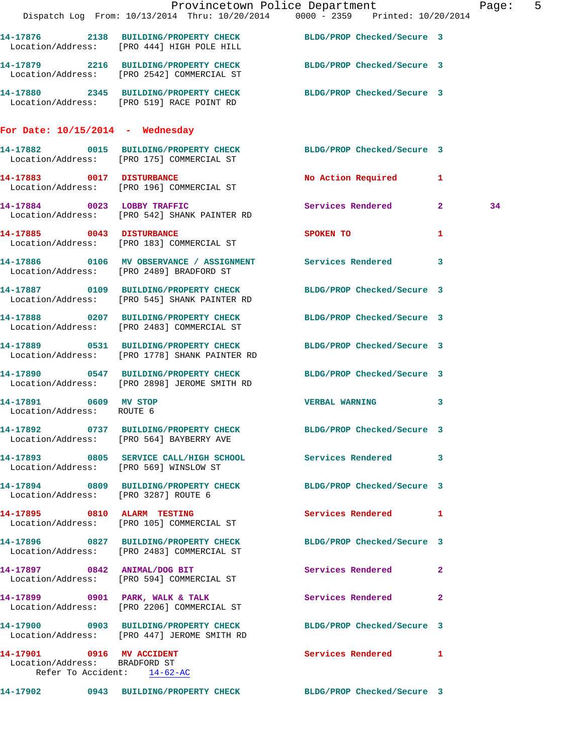|                                                                                           |                                                                                                                  | Provincetown Police Department                                                                                | Page: 5 |
|-------------------------------------------------------------------------------------------|------------------------------------------------------------------------------------------------------------------|---------------------------------------------------------------------------------------------------------------|---------|
|                                                                                           |                                                                                                                  | Dispatch Log From: 10/13/2014 Thru: 10/20/2014 0000 - 2359 Printed: 10/20/2014                                |         |
|                                                                                           | 14-17876 2138 BUILDING/PROPERTY CHECK BLDG/PROP Checked/Secure 3<br>Location/Address: [PRO 444] HIGH POLE HILL   |                                                                                                               |         |
|                                                                                           | 14-17879 2216 BUILDING/PROPERTY CHECK BLDG/PROP Checked/Secure 3<br>Location/Address: [PRO 2542] COMMERCIAL ST   |                                                                                                               |         |
|                                                                                           | 14-17880 2345 BUILDING/PROPERTY CHECK BLDG/PROP Checked/Secure 3<br>Location/Address: [PRO 519] RACE POINT RD    |                                                                                                               |         |
| For Date: $10/15/2014$ - Wednesday                                                        |                                                                                                                  |                                                                                                               |         |
|                                                                                           |                                                                                                                  | 14-17882 0015 BUILDING/PROPERTY CHECK BLDG/PROP Checked/Secure 3<br>Location/Address: [PRO 175] COMMERCIAL ST |         |
|                                                                                           | 14-17883 0017 DISTURBANCE<br>Location/Address: [PRO 196] COMMERCIAL ST                                           | No Action Required 1                                                                                          |         |
|                                                                                           | 14-17884 0023 LOBBY TRAFFIC<br>Location/Address: [PRO 542] SHANK PAINTER RD                                      | Services Rendered 2                                                                                           | 34      |
|                                                                                           | 14-17885 0043 DISTURBANCE<br>Location/Address: [PRO 183] COMMERCIAL ST                                           | SPOKEN TO<br>1                                                                                                |         |
|                                                                                           | 14-17886 0106 MV OBSERVANCE / ASSIGNMENT Services Rendered 3<br>Location/Address: [PRO 2489] BRADFORD ST         |                                                                                                               |         |
|                                                                                           | 14-17887 0109 BUILDING/PROPERTY CHECK<br>Location/Address: [PRO 545] SHANK PAINTER RD                            | BLDG/PROP Checked/Secure 3                                                                                    |         |
|                                                                                           | 14-17888 0207 BUILDING/PROPERTY CHECK BLDG/PROP Checked/Secure 3<br>Location/Address: [PRO 2483] COMMERCIAL ST   |                                                                                                               |         |
|                                                                                           | 14-17889 0531 BUILDING/PROPERTY CHECK<br>Location/Address: [PRO 1778] SHANK PAINTER RD                           | BLDG/PROP Checked/Secure 3                                                                                    |         |
|                                                                                           | 14-17890 0547 BUILDING/PROPERTY CHECK BLDG/PROP Checked/Secure 3<br>Location/Address: [PRO 2898] JEROME SMITH RD |                                                                                                               |         |
| 14-17891 0609 MV STOP<br>Location/Address: ROUTE 6                                        |                                                                                                                  | VERBAL WARNING 3                                                                                              |         |
|                                                                                           | 14-17892 0737 BUILDING/PROPERTY CHECK BLDG/PROP Checked/Secure 3<br>Location/Address: [PRO 564] BAYBERRY AVE     |                                                                                                               |         |
| Location/Address: [PRO 569] WINSLOW ST                                                    | 14-17893 0805 SERVICE CALL/HIGH SCHOOL Services Rendered 3                                                       |                                                                                                               |         |
| Location/Address: [PRO 3287] ROUTE 6                                                      | 14-17894 0809 BUILDING/PROPERTY CHECK BLDG/PROP Checked/Secure 3                                                 |                                                                                                               |         |
|                                                                                           | 14-17895 0810 ALARM TESTING<br>Location/Address: [PRO 105] COMMERCIAL ST                                         | Services Rendered 1                                                                                           |         |
|                                                                                           | 14-17896 0827 BUILDING/PROPERTY CHECK BLDG/PROP Checked/Secure 3<br>Location/Address: [PRO 2483] COMMERCIAL ST   |                                                                                                               |         |
|                                                                                           | 14-17897 0842 ANIMAL/DOG BIT<br>Location/Address: [PRO 594] COMMERCIAL ST                                        | Services Rendered 2                                                                                           |         |
|                                                                                           | 14-17899 0901 PARK, WALK & TALK 6 Services Rendered 2<br>Location/Address: [PRO 2206] COMMERCIAL ST              |                                                                                                               |         |
|                                                                                           | 14-17900 0903 BUILDING/PROPERTY CHECK<br>Location/Address: [PRO 447] JEROME SMITH RD                             | BLDG/PROP Checked/Secure 3                                                                                    |         |
| 14-17901 0916 MV ACCIDENT<br>Location/Address: BRADFORD ST<br>Refer To Accident: 14-62-AC |                                                                                                                  | Services Rendered 1                                                                                           |         |
|                                                                                           |                                                                                                                  | 14-17902 0943 BUILDING/PROPERTY CHECK BLDG/PROP Checked/Secure 3                                              |         |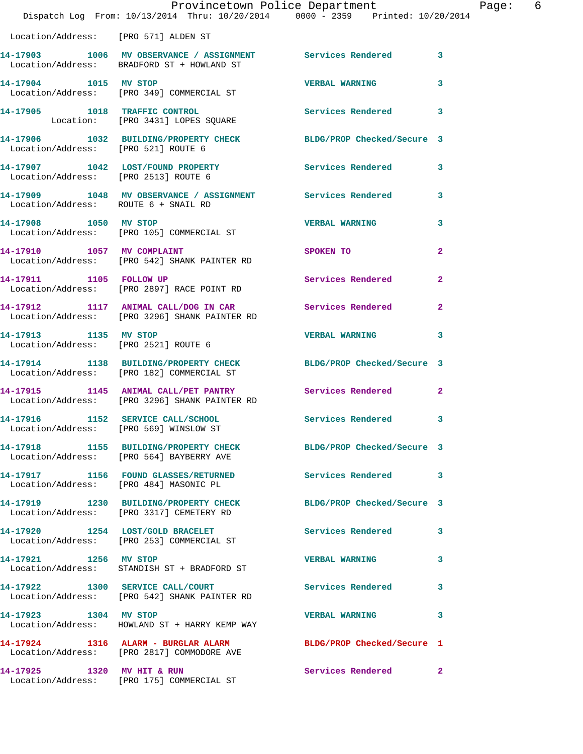|                                        | Provincetown Police Department<br>Dispatch Log From: 10/13/2014 Thru: 10/20/2014 0000 - 2359 Printed: 10/20/2014 |                                                                                                                 | Page: 6      |
|----------------------------------------|------------------------------------------------------------------------------------------------------------------|-----------------------------------------------------------------------------------------------------------------|--------------|
| Location/Address: [PRO 571] ALDEN ST   |                                                                                                                  |                                                                                                                 |              |
|                                        | 14-17903 1006 MV OBSERVANCE / ASSIGNMENT Services Rendered 3<br>Location/Address: BRADFORD ST + HOWLAND ST       |                                                                                                                 |              |
| 14-17904 1015 MV STOP                  | Location/Address: [PRO 349] COMMERCIAL ST                                                                        | <b>VERBAL WARNING</b>                                                                                           | 3            |
|                                        | 14-17905 1018 TRAFFIC CONTROL<br>Location: [PRO 3431] LOPES SQUARE                                               | Services Rendered 3                                                                                             |              |
| Location/Address: [PRO 521] ROUTE 6    | 14-17906 1032 BUILDING/PROPERTY CHECK BLDG/PROP Checked/Secure 3                                                 |                                                                                                                 |              |
|                                        | 14-17907 1042 LOST/FOUND PROPERTY Services Rendered 3<br>Location/Address: [PRO 2513] ROUTE 6                    |                                                                                                                 |              |
| Location/Address: ROUTE 6 + SNAIL RD   | 14-17909 1048 MV OBSERVANCE / ASSIGNMENT Services Rendered 3                                                     |                                                                                                                 |              |
| 14-17908 1050 MV STOP                  | Location/Address: [PRO 105] COMMERCIAL ST                                                                        | <b>VERBAL WARNING</b>                                                                                           | $\mathbf{3}$ |
|                                        | 14-17910 1057 MV COMPLAINT<br>Location/Address: [PRO 542] SHANK PAINTER RD                                       | SPOKEN TO THE STRIKE STRIKE STRIKE STRIKE STRIKE STRIKE STRIKE STRIKE STRIKE STRIKE STRIKE STRIKE STRIKE STRIKE | $\mathbf{2}$ |
| 14-17911 1105 FOLLOW UP                | Location/Address: [PRO 2897] RACE POINT RD                                                                       | Services Rendered                                                                                               | $\mathbf{2}$ |
|                                        | 14-17912 1117 ANIMAL CALL/DOG IN CAR Services Rendered<br>Location/Address: [PRO 3296] SHANK PAINTER RD          |                                                                                                                 | $\mathbf{2}$ |
| 14-17913 1135 MV STOP                  | Location/Address: [PRO 2521] ROUTE 6                                                                             | <b>VERBAL WARNING</b>                                                                                           | 3            |
|                                        | 14-17914 1138 BUILDING/PROPERTY CHECK BLDG/PROP Checked/Secure 3<br>Location/Address: [PRO 182] COMMERCIAL ST    |                                                                                                                 |              |
|                                        | 14-17915 1145 ANIMAL CALL/PET PANTRY Services Rendered<br>Location/Address: [PRO 3296] SHANK PAINTER RD          |                                                                                                                 | $\mathbf{2}$ |
|                                        | 14-17916 1152 SERVICE CALL/SCHOOL 5ervices Rendered 3<br>Location/Address: [PRO 569] WINSLOW ST                  |                                                                                                                 |              |
|                                        | 14-17918 1155 BUILDING/PROPERTY CHECK BLDG/PROP Checked/Secure 3<br>Location/Address: [PRO 564] BAYBERRY AVE     |                                                                                                                 |              |
| Location/Address: [PRO 484] MASONIC PL | 14-17917 1156 FOUND GLASSES/RETURNED Services Rendered 3                                                         |                                                                                                                 |              |
|                                        | 14-17919 1230 BUILDING/PROPERTY CHECK BLDG/PROP Checked/Secure 3<br>Location/Address: [PRO 3317] CEMETERY RD     |                                                                                                                 |              |
|                                        | 14-17920 1254 LOST/GOLD BRACELET<br>Location/Address: [PRO 253] COMMERCIAL ST                                    | Services Rendered 3                                                                                             |              |
| 14-17921 1256 MV STOP                  | Location/Address: STANDISH ST + BRADFORD ST                                                                      | <b>VERBAL WARNING</b>                                                                                           | 3            |
|                                        | 14-17922 1300 SERVICE CALL/COURT<br>Location/Address: [PRO 542] SHANK PAINTER RD                                 | <b>Services Rendered</b> 3                                                                                      |              |
| 14-17923 1304 MV STOP                  | Location/Address: HOWLAND ST + HARRY KEMP WAY                                                                    | <b>VERBAL WARNING</b>                                                                                           | 3            |
|                                        | 14-17924 1316 ALARM - BURGLAR ALARM<br>Location/Address: [PRO 2817] COMMODORE AVE                                | BLDG/PROP Checked/Secure 1                                                                                      |              |
| 14-17925 1320 MV HIT & RUN             | Location/Address: [PRO 175] COMMERCIAL ST                                                                        | Services Rendered 2                                                                                             |              |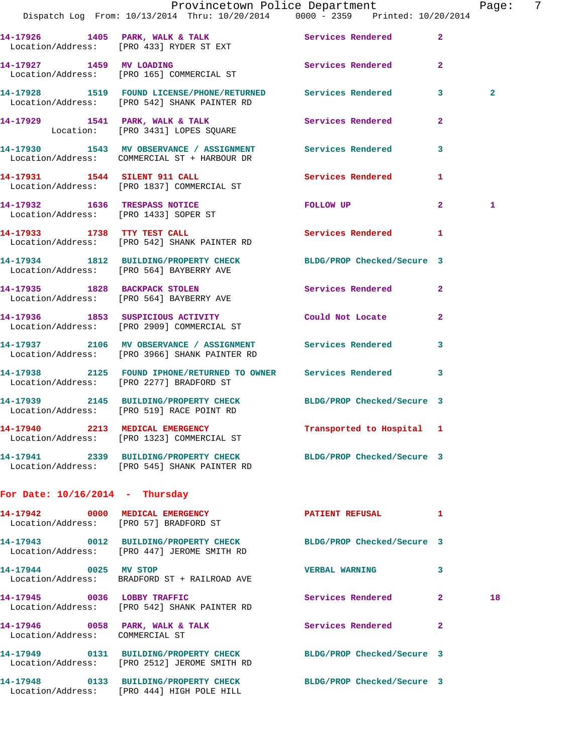|                                   |                                                                                                                  | Provincetown Police Department |                | Page:          | 7 |
|-----------------------------------|------------------------------------------------------------------------------------------------------------------|--------------------------------|----------------|----------------|---|
|                                   | Dispatch Log From: 10/13/2014 Thru: 10/20/2014 0000 - 2359 Printed: 10/20/2014                                   |                                |                |                |   |
|                                   | 14-17926 1405 PARK, WALK & TALK Services Rendered<br>Location/Address: [PRO 433] RYDER ST EXT                    |                                | $\overline{2}$ |                |   |
| 14-17927 1459 MV LOADING          | Location/Address: [PRO 165] COMMERCIAL ST                                                                        | Services Rendered 2            |                |                |   |
|                                   | 14-17928 1519 FOUND LICENSE/PHONE/RETURNED Services Rendered 3<br>Location/Address: [PRO 542] SHANK PAINTER RD   |                                |                | $\overline{2}$ |   |
|                                   | 14-17929 1541 PARK, WALK & TALK Services Rendered Location: [PRO 3431] LOPES SQUARE                              |                                | $\mathbf{2}$   |                |   |
|                                   | 14-17930 1543 MV OBSERVANCE / ASSIGNMENT Services Rendered<br>Location/Address: COMMERCIAL ST + HARBOUR DR       |                                | 3              |                |   |
|                                   | 14-17931 1544 SILENT 911 CALL SERVICES Rendered 1<br>Location/Address: [PRO 1837] COMMERCIAL ST                  |                                |                |                |   |
|                                   | 14-17932 1636 TRESPASS NOTICE<br>Location/Address: [PRO 1433] SOPER ST                                           | FOLLOW UP 2                    |                | $\mathbf{1}$   |   |
|                                   | 14-17933 1738 TTY TEST CALL<br>Location/Address: [PRO 542] SHANK PAINTER RD                                      | Services Rendered 1            |                |                |   |
|                                   | 14-17934 1812 BUILDING/PROPERTY CHECK BLDG/PROP Checked/Secure 3<br>Location/Address: [PRO 564] BAYBERRY AVE     |                                |                |                |   |
|                                   | 14-17935 1828 BACKPACK STOLEN<br>Location/Address: [PRO 564] BAYBERRY AVE                                        | Services Rendered 2            |                |                |   |
|                                   | 14-17936 1853 SUSPICIOUS ACTIVITY Could Not Locate<br>Location/Address: [PRO 2909] COMMERCIAL ST                 |                                | $\overline{2}$ |                |   |
|                                   | 14-17937 2106 MV OBSERVANCE / ASSIGNMENT Services Rendered 3<br>Location/Address: [PRO 3966] SHANK PAINTER RD    |                                |                |                |   |
|                                   | 14-17938 2125 FOUND IPHONE/RETURNED TO OWNER Services Rendered 3<br>Location/Address: [PRO 2277] BRADFORD ST     |                                |                |                |   |
|                                   | 14-17939 2145 BUILDING/PROPERTY CHECK BLDG/PROP Checked/Secure 3<br>Location/Address: [PRO 519] RACE POINT RD    |                                |                |                |   |
|                                   | 14-17940 2213 MEDICAL EMERGENCY<br>Location/Address: [PRO 1323] COMMERCIAL ST                                    | Transported to Hospital 1      |                |                |   |
|                                   | 14-17941 2339 BUILDING/PROPERTY CHECK BLDG/PROP Checked/Secure 3<br>Location/Address: [PRO 545] SHANK PAINTER RD |                                |                |                |   |
| For Date: $10/16/2014$ - Thursday |                                                                                                                  |                                |                |                |   |
|                                   | 14-17942 0000 MEDICAL EMERGENCY<br>Location/Address: [PRO 57] BRADFORD ST                                        | PATIENT REFUSAL 1              |                |                |   |
|                                   | 14-17943 0012 BUILDING/PROPERTY CHECK BLDG/PROP Checked/Secure 3<br>Location/Address: [PRO 447] JEROME SMITH RD  |                                |                |                |   |
| 14-17944 0025 MV STOP             | Location/Address: BRADFORD ST + RAILROAD AVE                                                                     | <b>VERBAL WARNING</b>          | 3              |                |   |
| 14-17945 0036 LOBBY TRAFFIC       | Location/Address: [PRO 542] SHANK PAINTER RD                                                                     | Services Rendered 2            |                | 18             |   |
| Location/Address: COMMERCIAL ST   | 14-17946 0058 PARK, WALK & TALK Services Rendered                                                                |                                | $\overline{2}$ |                |   |
|                                   | 14-17949 0131 BUILDING/PROPERTY CHECK BLDG/PROP Checked/Secure 3<br>Location/Address: [PRO 2512] JEROME SMITH RD |                                |                |                |   |
|                                   | 14-17948 0133 BUILDING/PROPERTY CHECK BLDG/PROP Checked/Secure 3<br>Location/Address: [PRO 444] HIGH POLE HILL   |                                |                |                |   |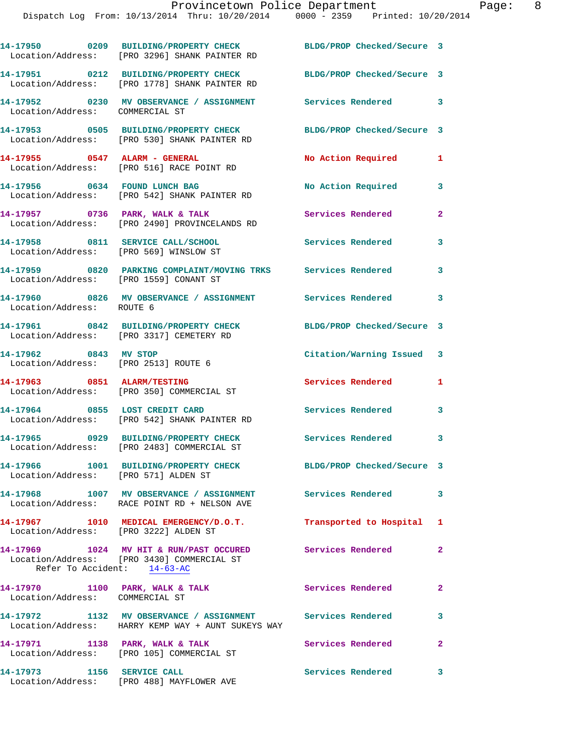|                                 | 14-17950 0209 BUILDING/PROPERTY CHECK BLDG/PROP Checked/Secure 3<br>Location/Address: [PRO 3296] SHANK PAINTER RD                      |                               |                         |
|---------------------------------|----------------------------------------------------------------------------------------------------------------------------------------|-------------------------------|-------------------------|
|                                 | 14-17951 0212 BUILDING/PROPERTY CHECK<br>Location/Address: [PRO 1778] SHANK PAINTER RD                                                 | BLDG/PROP Checked/Secure 3    |                         |
| Location/Address: COMMERCIAL ST | 14-17952 0230 MV OBSERVANCE / ASSIGNMENT Services Rendered 3                                                                           |                               |                         |
|                                 | 14-17953 0505 BUILDING/PROPERTY CHECK<br>Location/Address: [PRO 530] SHANK PAINTER RD                                                  | BLDG/PROP Checked/Secure 3    |                         |
|                                 | 14-17955 0547 ALARM - GENERAL<br>Location/Address: [PRO 516] RACE POINT RD                                                             | No Action Required            | 1                       |
|                                 | 14-17956 0634 FOUND LUNCH BAG<br>Location/Address: [PRO 542] SHANK PAINTER RD                                                          | No Action Required            | 3                       |
|                                 | 14-17957 0736 PARK, WALK & TALK<br>Location/Address: [PRO 2490] PROVINCELANDS RD                                                       | Services Rendered             | $\mathbf{2}$            |
|                                 | 14-17958 0811 SERVICE CALL/SCHOOL<br>Location/Address: [PRO 569] WINSLOW ST                                                            | Services Rendered             | 3                       |
|                                 | 14-17959 0820 PARKING COMPLAINT/MOVING TRKS Services Rendered<br>Location/Address: [PRO 1559] CONANT ST                                |                               | 3                       |
| Location/Address: ROUTE 6       | 14-17960 0826 MV OBSERVANCE / ASSIGNMENT Services Rendered                                                                             |                               | $\overline{\mathbf{3}}$ |
|                                 | 14-17961 0842 BUILDING/PROPERTY CHECK<br>Location/Address: [PRO 3317] CEMETERY RD                                                      | BLDG/PROP Checked/Secure 3    |                         |
| 14-17962 0843 MV STOP           | Location/Address: [PRO 2513] ROUTE 6                                                                                                   | Citation/Warning Issued 3     |                         |
|                                 |                                                                                                                                        |                               |                         |
|                                 | 14-17963 0851 ALARM/TESTING<br>Location/Address: [PRO 350] COMMERCIAL ST                                                               | <b>Services Rendered</b>      | 1                       |
|                                 | 14-17964 0855 LOST CREDIT CARD<br>Location/Address: [PRO 542] SHANK PAINTER RD                                                         | Services Rendered 3           |                         |
|                                 | 14-17965 0929 BUILDING/PROPERTY CHECK Services Rendered<br>Location/Address: [PRO 2483] COMMERCIAL ST                                  |                               | 3                       |
|                                 | 14-17966 1001 BUILDING/PROPERTY CHECK<br>Location/Address: [PRO 571] ALDEN ST                                                          | BLDG/PROP Checked/Secure 3    |                         |
|                                 | 14-17968 1007 MV OBSERVANCE / ASSIGNMENT Services Rendered<br>Location/Address: RACE POINT RD + NELSON AVE                             |                               | $\overline{\mathbf{3}}$ |
|                                 | 14-17967 1010 MEDICAL EMERGENCY/D.O.T.<br>Location/Address: [PRO 3222] ALDEN ST                                                        | Transported to Hospital 1     |                         |
|                                 | 14-17969 1024 MV HIT & RUN/PAST OCCURED Services Rendered<br>Location/Address: [PRO 3430] COMMERCIAL ST<br>Refer To Accident: 14-63-AC |                               | $\overline{2}$          |
| Location/Address: COMMERCIAL ST | 14-17970 1100 PARK, WALK & TALK                                                                                                        | Services Rendered<br>$\sim$ 2 |                         |
|                                 | 14-17972 1132 MV OBSERVANCE / ASSIGNMENT Services Rendered<br>Location/Address: HARRY KEMP WAY + AUNT SUKEYS WAY                       |                               | $\overline{\mathbf{3}}$ |
|                                 | 14-17971 1138 PARK, WALK & TALK<br>Location/Address: [PRO 105] COMMERCIAL ST                                                           | Services Rendered             | $\mathbf{2}$            |
| 14-17973 1156 SERVICE CALL      | Location/Address: [PRO 488] MAYFLOWER AVE                                                                                              | <b>Services Rendered</b>      | 3                       |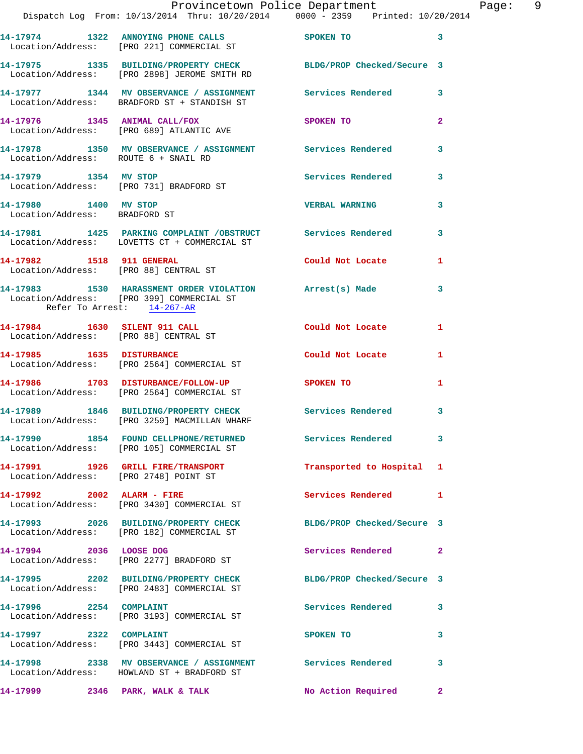|                                                        |                                                                                           | Provincetown Police Department<br>Dispatch Log From: 10/13/2014 Thru: 10/20/2014 0000 - 2359 Printed: 10/20/2014 | – Pa           |
|--------------------------------------------------------|-------------------------------------------------------------------------------------------|------------------------------------------------------------------------------------------------------------------|----------------|
|                                                        |                                                                                           |                                                                                                                  |                |
|                                                        | 14-17974 1322 ANNOYING PHONE CALLS SPOKEN TO<br>Location/Address: [PRO 221] COMMERCIAL ST |                                                                                                                  | 3              |
|                                                        | Location/Address: [PRO 2898] JEROME SMITH RD                                              | 14-17975 1335 BUILDING/PROPERTY CHECK BLDG/PROP Checked/Secure 3                                                 |                |
|                                                        | Location/Address: BRADFORD ST + STANDISH ST                                               | 14-17977 1344 MV OBSERVANCE / ASSIGNMENT Services Rendered                                                       | 3              |
|                                                        | 14-17976 1345 ANIMAL CALL/FOX SPOKEN TO<br>Location/Address: [PRO 689] ATLANTIC AVE       |                                                                                                                  | $\overline{2}$ |
|                                                        |                                                                                           | 14-17978 1350 MV OBSERVANCE / ASSIGNMENT Services Rendered<br>Location/Address: ROUTE 6 + SNAIL RD               | 3              |
|                                                        | <br>14-17979             1354    MV STOP<br> Location/Address:     [PRO 731] BRADFORD ST  | Services Rendered                                                                                                | 3              |
| 14-17980 1400 MV STOP<br>Location/Address: BRADFORD ST |                                                                                           | <b>VERBAL WARNING</b>                                                                                            | 3              |
|                                                        | Location/Address: LOVETTS CT + COMMERCIAL ST                                              | 14-17981 1425 PARKING COMPLAINT /OBSTRUCT Services Rendered                                                      | 3              |
| 14-17982 1518 911 GENERAL                              | Location/Address: [PRO 88] CENTRAL ST                                                     | Could Not Locate 1                                                                                               |                |
| Refer To Arrest: 14-267-AR                             | Location/Address: [PRO 399] COMMERCIAL ST                                                 | 14-17983 1530 HARASSMENT ORDER VIOLATION Arrest(s) Made                                                          | 3              |
|                                                        | 14-17984 1630 SILENT 911 CALL<br>Location/Address: [PRO 88] CENTRAL ST                    | Could Not Locate                                                                                                 | 1              |
|                                                        | 14-17985 1635 DISTURBANCE<br>Location/Address: [PRO 2564] COMMERCIAL ST                   | Could Not Locate                                                                                                 | 1              |
|                                                        |                                                                                           | 14-17986 1703 DISTURBANCE/FOLLOW-UP SPOKEN TO<br>Location/Address: [PRO 2564] COMMERCIAL ST                      | 1              |
|                                                        |                                                                                           | 14-17989 1846 BUILDING/PROPERTY CHECK Services Rendered 3<br>Location/Address: [PRO 3259] MACMILLAN WHARF        |                |
|                                                        | Location/Address: [PRO 105] COMMERCIAL ST                                                 | 14-17990 1854 FOUND CELLPHONE/RETURNED Services Rendered                                                         | 3              |
|                                                        | 14-17991 1926 GRILL FIRE/TRANSPORT<br>Location/Address: [PRO 2748] POINT ST               | Transported to Hospital 1                                                                                        |                |
|                                                        | 14-17992 2002 ALARM - FIRE<br>Location/Address: [PRO 3430] COMMERCIAL ST                  | Services Rendered 1                                                                                              |                |
|                                                        | 14-17993 2026 BUILDING/PROPERTY CHECK<br>Location/Address: [PRO 182] COMMERCIAL ST        | BLDG/PROP Checked/Secure 3                                                                                       |                |
| 14-17994 2036 LOOSE DOG                                | Location/Address: [PRO 2277] BRADFORD ST                                                  | <b>Services Rendered</b>                                                                                         | $\mathbf{2}$   |
|                                                        | 14-17995 2202 BUILDING/PROPERTY CHECK<br>Location/Address: [PRO 2483] COMMERCIAL ST       | BLDG/PROP Checked/Secure 3                                                                                       |                |
| 14-17996 2254 COMPLAINT                                | Location/Address: [PRO 3193] COMMERCIAL ST                                                | Services Rendered                                                                                                | 3              |
|                                                        | 14-17997 2322 COMPLAINT<br>Location/Address: [PRO 3443] COMMERCIAL ST                     | SPOKEN TO                                                                                                        | 3              |
|                                                        | Location/Address: HOWLAND ST + BRADFORD ST                                                | 14-17998 2338 MV OBSERVANCE / ASSIGNMENT Services Rendered                                                       | 3              |
|                                                        | 14-17999 2346 PARK, WALK & TALK                                                           | No Action Required                                                                                               | $\mathbf{2}$   |

Page: 9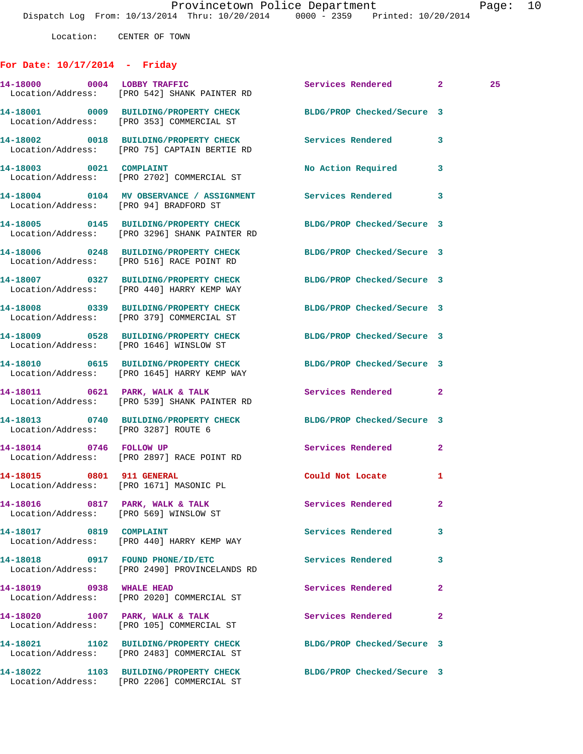Location: CENTER OF TOWN

## **For Date: 10/17/2014 - Friday**

|                                      | 14-18000 0004 LOBBY TRAFFIC<br>Location/Address: [PRO 542] SHANK PAINTER RD                                       | Services Rendered 2        |              | 25 <sub>1</sub> |
|--------------------------------------|-------------------------------------------------------------------------------------------------------------------|----------------------------|--------------|-----------------|
|                                      | 14-18001 0009 BUILDING/PROPERTY CHECK<br>Location/Address: [PRO 353] COMMERCIAL ST                                | BLDG/PROP Checked/Secure 3 |              |                 |
|                                      | 14-18002 0018 BUILDING/PROPERTY CHECK Services Rendered<br>Location/Address: [PRO 75] CAPTAIN BERTIE RD           |                            | 3            |                 |
| 14-18003 0021 COMPLAINT              | Location/Address: [PRO 2702] COMMERCIAL ST                                                                        | <b>No Action Required</b>  | 3            |                 |
|                                      | 14-18004 0104 MV OBSERVANCE / ASSIGNMENT Services Rendered<br>Location/Address: [PRO 94] BRADFORD ST              |                            | 3            |                 |
|                                      | 14-18005 0145 BUILDING/PROPERTY CHECK BLDG/PROP Checked/Secure 3<br>Location/Address: [PRO 3296] SHANK PAINTER RD |                            |              |                 |
|                                      | 14-18006 0248 BUILDING/PROPERTY CHECK BLDG/PROP Checked/Secure 3<br>Location/Address: [PRO 516] RACE POINT RD     |                            |              |                 |
|                                      | 14-18007 0327 BUILDING/PROPERTY CHECK BLDG/PROP Checked/Secure 3<br>Location/Address: [PRO 440] HARRY KEMP WAY    |                            |              |                 |
|                                      | 14-18008 0339 BUILDING/PROPERTY CHECK BLDG/PROP Checked/Secure 3<br>Location/Address: [PRO 379] COMMERCIAL ST     |                            |              |                 |
|                                      | 14-18009 0528 BUILDING/PROPERTY CHECK BLDG/PROP Checked/Secure 3<br>Location/Address: [PRO 1646] WINSLOW ST       |                            |              |                 |
|                                      | 14-18010 0615 BUILDING/PROPERTY CHECK BLDG/PROP Checked/Secure 3<br>Location/Address: [PRO 1645] HARRY KEMP WAY   |                            |              |                 |
|                                      | 14-18011 0621 PARK, WALK & TALK<br>Location/Address: [PRO 539] SHANK PAINTER RD                                   | Services Rendered 2        |              |                 |
| Location/Address: [PRO 3287] ROUTE 6 | 14-18013 0740 BUILDING/PROPERTY CHECK BLDG/PROP Checked/Secure 3                                                  |                            |              |                 |
|                                      | 14-18014 0746 FOLLOW UP<br>Location/Address: [PRO 2897] RACE POINT RD                                             | Services Rendered          | $\mathbf{2}$ |                 |
|                                      | 14-18015 0801 911 GENERAL<br>Location/Address: [PRO 1671] MASONIC PL                                              | Could Not Locate 1         |              |                 |
|                                      | Location/Address: [PRO 569] WINSLOW ST                                                                            |                            |              |                 |
| 14-18017 0819 COMPLAINT              | Location/Address: [PRO 440] HARRY KEMP WAY                                                                        | Services Rendered          | 3            |                 |
| 14-18018 0917 FOUND PHONE/ID/ETC     | Location/Address: [PRO 2490] PROVINCELANDS RD                                                                     | Services Rendered          | 3            |                 |
| 14-18019 0938 WHALE HEAD             | Location/Address: [PRO 2020] COMMERCIAL ST                                                                        | Services Rendered          | $\mathbf{2}$ |                 |
| 14-18020 1007 PARK, WALK & TALK      | Location/Address: [PRO 105] COMMERCIAL ST                                                                         | Services Rendered          | $\mathbf{2}$ |                 |
|                                      | 14-18021 1102 BUILDING/PROPERTY CHECK<br>Location/Address: [PRO 2483] COMMERCIAL ST                               | BLDG/PROP Checked/Secure 3 |              |                 |
|                                      | 14-18022 1103 BUILDING/PROPERTY CHECK<br>Location/Address: [PRO 2206] COMMERCIAL ST                               | BLDG/PROP Checked/Secure 3 |              |                 |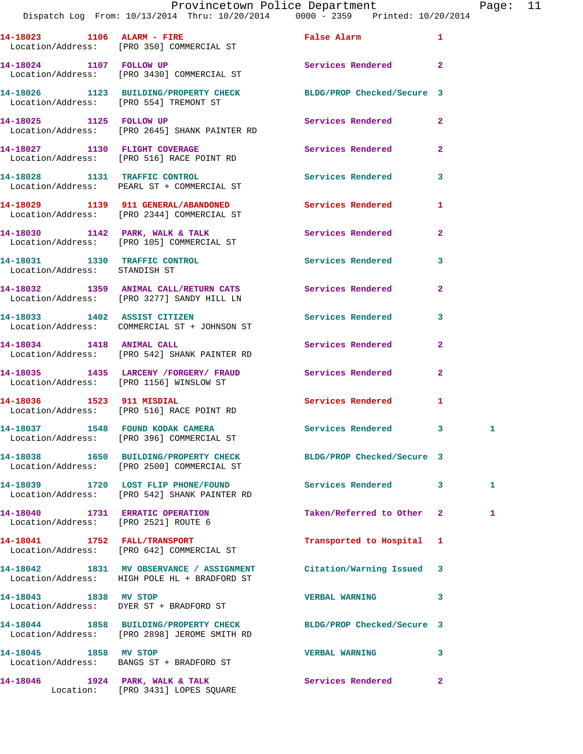| Provincetown Police Department |  |  |                                   | Page: $11$ |                                     |  |  |
|--------------------------------|--|--|-----------------------------------|------------|-------------------------------------|--|--|
|                                |  |  | From: 10/13/2014 Thru: 10/20/2014 |            | $0000 - 2359$ Printed: $10/20/2014$ |  |  |
|                                |  |  |                                   |            |                                     |  |  |

Dispatch Log

|                                                                         | 14-18023 1106 ALARM - FIRE<br>Location/Address: [PRO 350] COMMERCIAL ST                                          | False Alarm                | 1              |              |
|-------------------------------------------------------------------------|------------------------------------------------------------------------------------------------------------------|----------------------------|----------------|--------------|
| 14-18024 1107 FOLLOW UP                                                 | Location/Address: [PRO 3430] COMMERCIAL ST                                                                       | Services Rendered          | $\overline{a}$ |              |
| Location/Address: [PRO 554] TREMONT ST                                  | 14-18026 1123 BUILDING/PROPERTY CHECK                                                                            | BLDG/PROP Checked/Secure 3 |                |              |
| 14-18025 1125 FOLLOW UP                                                 | Location/Address: [PRO 2645] SHANK PAINTER RD                                                                    | Services Rendered          | $\overline{2}$ |              |
|                                                                         | 14-18027 1130 FLIGHT COVERAGE<br>Location/Address: [PRO 516] RACE POINT RD                                       | Services Rendered          | $\mathbf{2}$   |              |
|                                                                         | 14-18028 1131 TRAFFIC CONTROL<br>Location/Address: PEARL ST + COMMERCIAL ST                                      | <b>Services Rendered</b>   | 3              |              |
|                                                                         | 14-18029 1139 911 GENERAL/ABANDONED<br>Location/Address: [PRO 2344] COMMERCIAL ST                                | Services Rendered          | 1              |              |
|                                                                         | 14-18030 1142 PARK, WALK & TALK<br>Location/Address: [PRO 105] COMMERCIAL ST                                     | <b>Services Rendered</b>   | $\mathbf{2}$   |              |
| 14-18031 1330 TRAFFIC CONTROL<br>Location/Address: STANDISH ST          |                                                                                                                  | <b>Services Rendered</b>   | 3              |              |
|                                                                         | 14-18032 1359 ANIMAL CALL/RETURN CATS Services Rendered<br>Location/Address: [PRO 3277] SANDY HILL LN            |                            | $\overline{2}$ |              |
|                                                                         | 14-18033 1402 ASSIST CITIZEN<br>Location/Address: COMMERCIAL ST + JOHNSON ST                                     | Services Rendered          | 3              |              |
|                                                                         | 14-18034 1418 ANIMAL CALL<br>Location/Address: [PRO 542] SHANK PAINTER RD                                        | Services Rendered          | $\overline{a}$ |              |
|                                                                         | 14-18035 1435 LARCENY / FORGERY / FRAUD Services Rendered<br>Location/Address: [PRO 1156] WINSLOW ST             |                            | $\overline{2}$ |              |
|                                                                         | 14-18036 1523 911 MISDIAL<br>Location/Address: [PRO 516] RACE POINT RD                                           | Services Rendered          | 1              |              |
|                                                                         | 14-18037 1548 FOUND KODAK CAMERA<br>Location/Address: [PRO 396] COMMERCIAL ST                                    | Services Rendered          | 3              | 1            |
|                                                                         | 14-18038 1650 BUILDING/PROPERTY CHECK<br>Location/Address: [PRO 2500] COMMERCIAL ST                              | BLDG/PROP Checked/Secure 3 |                |              |
|                                                                         | 14-18039 1720 LOST FLIP PHONE/FOUND<br>Location/Address: [PRO 542] SHANK PAINTER RD                              | Services Rendered          | 3              | $\mathbf{1}$ |
| 14-18040 1731 ERRATIC OPERATION<br>Location/Address: [PRO 2521] ROUTE 6 |                                                                                                                  | Taken/Referred to Other    | $\mathbf{2}$   | 1            |
|                                                                         | 14-18041 1752 FALL/TRANSPORT<br>Location/Address: [PRO 642] COMMERCIAL ST                                        | Transported to Hospital    | 1              |              |
|                                                                         | 14-18042 1831 MV OBSERVANCE / ASSIGNMENT<br>Location/Address: HIGH POLE HL + BRADFORD ST                         | Citation/Warning Issued    | 3              |              |
| 14-18043 1838 MV STOP                                                   | Location/Address: DYER ST + BRADFORD ST                                                                          | <b>VERBAL WARNING</b>      | 3              |              |
|                                                                         | 14-18044 1858 BUILDING/PROPERTY CHECK BLDG/PROP Checked/Secure 3<br>Location/Address: [PRO 2898] JEROME SMITH RD |                            |                |              |
| 14-18045 1858 MV STOP                                                   | Location/Address: BANGS ST + BRADFORD ST                                                                         | <b>VERBAL WARNING</b>      | 3              |              |
|                                                                         | 14-18046 1924 PARK, WALK & TALK<br>Location: [PRO 3431] LOPES SQUARE                                             | Services Rendered          | $\overline{2}$ |              |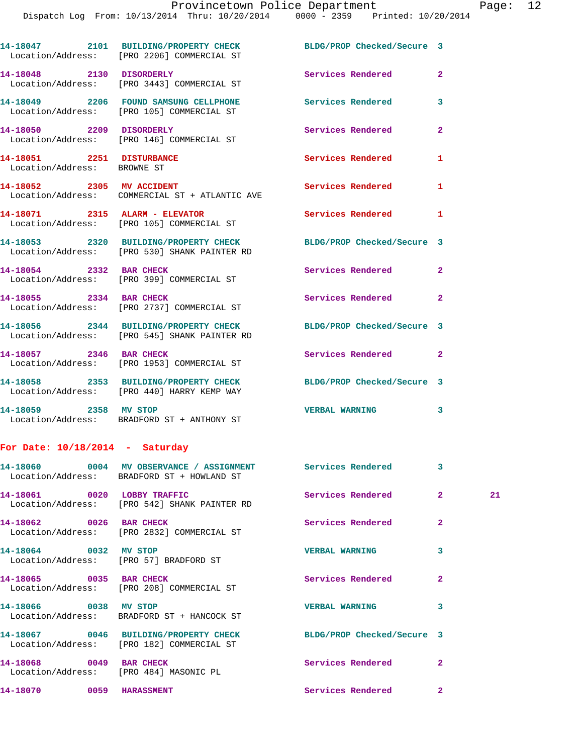**14-18047 2101 BUILDING/PROPERTY CHECK BLDG/PROP Checked/Secure 3**  Location/Address: [PRO 2206] COMMERCIAL ST **14-18048 2130 DISORDERLY Services Rendered 2**  Location/Address: [PRO 3443] COMMERCIAL ST **14-18049 2206 FOUND SAMSUNG CELLPHONE Services Rendered 3**  Location/Address: [PRO 105] COMMERCIAL ST **14-18050 2209 DISORDERLY Services Rendered 2**  Location/Address: [PRO 146] COMMERCIAL ST **14-18051 2251 DISTURBANCE Services Rendered 1**  Location/Address: BROWNE ST 14-18052 2305 MV ACCIDENT Services Rendered 1 Location/Address: COMMERCIAL ST + ATLANTIC AVE **14-18071 2315 ALARM - ELEVATOR Services Rendered 1**  Location/Address: [PRO 105] COMMERCIAL ST **14-18053 2320 BUILDING/PROPERTY CHECK BLDG/PROP Checked/Secure 3**  Location/Address: [PRO 530] SHANK PAINTER RD **14-18054 2332 BAR CHECK Services Rendered 2**  Location/Address: [PRO 399] COMMERCIAL ST **14-18055 2334 BAR CHECK Services Rendered 2**  Location/Address: [PRO 2737] COMMERCIAL ST **14-18056 2344 BUILDING/PROPERTY CHECK BLDG/PROP Checked/Secure 3**  Location/Address: [PRO 545] SHANK PAINTER RD **14-18057 2346 BAR CHECK Services Rendered 2**  Location/Address: [PRO 1953] COMMERCIAL ST **14-18058 2353 BUILDING/PROPERTY CHECK BLDG/PROP Checked/Secure 3**  Location/Address: [PRO 440] HARRY KEMP WAY

**14-18059 2358 MV STOP VERBAL WARNING 3**  Location/Address: BRADFORD ST + ANTHONY ST

## **For Date: 10/18/2014 - Saturday**

|                                                                   | 14-18060 0004 MV OBSERVANCE / ASSIGNMENT Services Rendered<br>Location/Address: BRADFORD ST + HOWLAND ST      |                                       | 3              |    |
|-------------------------------------------------------------------|---------------------------------------------------------------------------------------------------------------|---------------------------------------|----------------|----|
| 14-18061 0020 LOBBY TRAFFIC                                       | Location/Address: [PRO 542] SHANK PAINTER RD                                                                  | <b>Example 2018</b> Services Rendered | $\overline{2}$ | 21 |
| 14-18062 0026 BAR CHECK                                           | Location/Address: [PRO 2832] COMMERCIAL ST                                                                    | <b>Services Rendered</b>              | $\overline{2}$ |    |
| 14-18064 0032 MV STOP<br>Location/Address: [PRO 57] BRADFORD ST   |                                                                                                               | <b>VERBAL WARNING</b>                 | 3              |    |
| 14-18065 0035 BAR CHECK                                           | Location/Address: [PRO 208] COMMERCIAL ST                                                                     | <b>Services Rendered</b>              | $\overline{2}$ |    |
| 14-18066 0038 MV STOP                                             | Location/Address: BRADFORD ST + HANCOCK ST                                                                    | <b>VERBAL WARNING</b>                 | 3              |    |
|                                                                   | 14-18067 0046 BUILDING/PROPERTY CHECK BLDG/PROP Checked/Secure 3<br>Location/Address: [PRO 182] COMMERCIAL ST |                                       |                |    |
| 14-18068 0049 BAR CHECK<br>Location/Address: [PRO 484] MASONIC PL |                                                                                                               | Services Rendered                     | $\overline{2}$ |    |
| 14-18070 0059 HARASSMENT                                          |                                                                                                               | Services Rendered                     | $\overline{2}$ |    |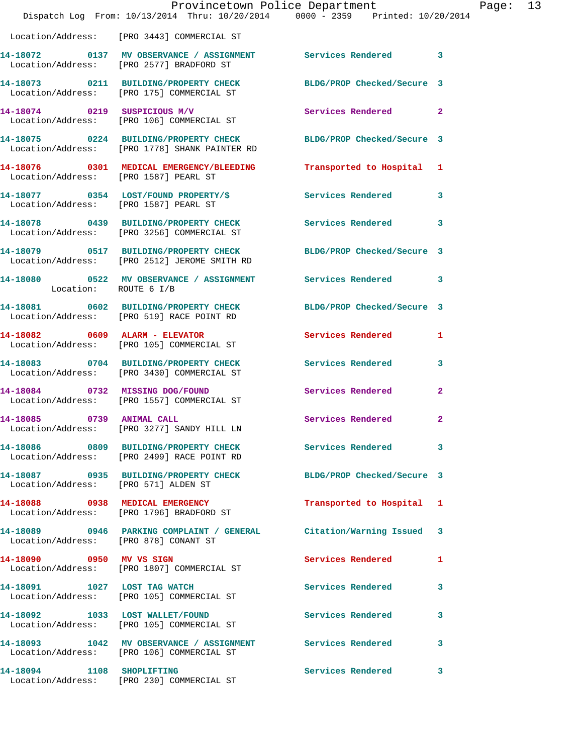|                                       | Provincetown Police Department<br>Dispatch Log From: 10/13/2014 Thru: 10/20/2014 0000 - 2359 Printed: 10/20/2014 |                            |                |
|---------------------------------------|------------------------------------------------------------------------------------------------------------------|----------------------------|----------------|
|                                       |                                                                                                                  |                            |                |
|                                       | Location/Address: [PRO 3443] COMMERCIAL ST                                                                       |                            |                |
|                                       | 14-18072 0137 MV OBSERVANCE / ASSIGNMENT Services Rendered<br>Location/Address: [PRO 2577] BRADFORD ST           |                            | 3              |
|                                       | 14-18073 0211 BUILDING/PROPERTY CHECK<br>Location/Address: [PRO 175] COMMERCIAL ST                               | BLDG/PROP Checked/Secure 3 |                |
| 14-18074 0219 SUSPICIOUS M/V          | Location/Address: [PRO 106] COMMERCIAL ST                                                                        | Services Rendered          | $\mathbf{2}$   |
|                                       | 14-18075 0224 BUILDING/PROPERTY CHECK<br>Location/Address: [PRO 1778] SHANK PAINTER RD                           | BLDG/PROP Checked/Secure 3 |                |
| Location/Address: [PRO 1587] PEARL ST | 14-18076 0301 MEDICAL EMERGENCY/BLEEDING Transported to Hospital                                                 |                            | 1              |
|                                       |                                                                                                                  | <b>Services Rendered</b>   | 3              |
|                                       | 14-18078 0439 BUILDING/PROPERTY CHECK<br>Location/Address: [PRO 3256] COMMERCIAL ST                              | <b>Services Rendered</b>   | 3              |
|                                       | 14-18079 0517 BUILDING/PROPERTY CHECK<br>Location/Address: [PRO 2512] JEROME SMITH RD                            | BLDG/PROP Checked/Secure 3 |                |
| Location: ROUTE 6 I/B                 | 14-18080 0522 MV OBSERVANCE / ASSIGNMENT Services Rendered                                                       |                            | 3              |
|                                       | 14-18081 0602 BUILDING/PROPERTY CHECK<br>Location/Address: [PRO 519] RACE POINT RD                               | BLDG/PROP Checked/Secure 3 |                |
|                                       | $14-18082$ 0609 ALARM - ELEVATOR<br>Location/Address: [PRO 105] COMMERCIAL ST                                    | <b>Services Rendered</b>   | 1              |
|                                       | 14-18083 0704 BUILDING/PROPERTY CHECK<br>Location/Address: [PRO 3430] COMMERCIAL ST                              | Services Rendered          | 3              |
|                                       | 14-18084 0732 MISSING DOG/FOUND<br>Location/Address: [PRO 1557] COMMERCIAL ST                                    | Services Rendered          | 2              |
| 0739 ANIMAL CALL<br>14-18085          | Location/Address: [PRO 3277] SANDY HILL LN                                                                       | Services Rendered          | $\overline{2}$ |
|                                       | 14-18086 0809 BUILDING/PROPERTY CHECK Services Rendered<br>Location/Address: [PRO 2499] RACE POINT RD            |                            | 3              |
| Location/Address: [PRO 571] ALDEN ST  | 14-18087 0935 BUILDING/PROPERTY CHECK                                                                            | BLDG/PROP Checked/Secure 3 |                |
|                                       | 14-18088 0938 MEDICAL EMERGENCY<br>Location/Address: [PRO 1796] BRADFORD ST                                      | Transported to Hospital    | ı              |
| Location/Address: [PRO 878] CONANT ST | 14-18089 0946 PARKING COMPLAINT / GENERAL Citation/Warning Issued                                                |                            | 3              |
| 14-18090 0950 MV VS SIGN              | Location/Address: [PRO 1807] COMMERCIAL ST                                                                       | Services Rendered          | 1              |
| 14-18091 1027 LOST TAG WATCH          | Location/Address: [PRO 105] COMMERCIAL ST                                                                        | <b>Services Rendered</b>   | 3              |
|                                       | 14-18092 1033 LOST WALLET/FOUND<br>Location/Address: [PRO 105] COMMERCIAL ST                                     | <b>Services Rendered</b>   | 3              |
|                                       | 14-18093 1042 MV OBSERVANCE / ASSIGNMENT Services Rendered<br>Location/Address: [PRO 106] COMMERCIAL ST          |                            | 3              |
| 14-18094 1108 SHOPLIFTING             | Location/Address: [PRO 230] COMMERCIAL ST                                                                        | <b>Services Rendered</b>   | з              |

Page:  $13$ <br> $14$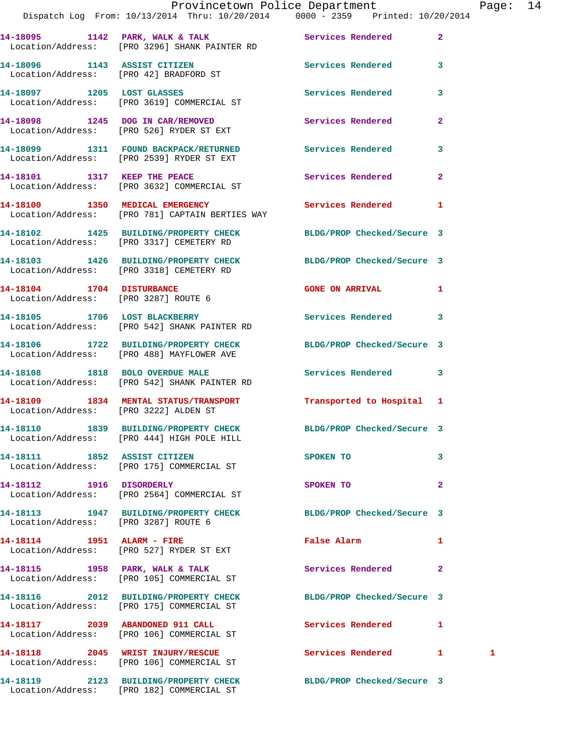|                                       | Dispatch Log From: 10/13/2014 Thru: 10/20/2014 0000 - 2359 Printed: 10/20/2014                                 | Provincetown Police Department |                | Page: 14 |  |
|---------------------------------------|----------------------------------------------------------------------------------------------------------------|--------------------------------|----------------|----------|--|
|                                       | 14-18095 1142 PARK, WALK & TALK (Services Rendered 2)<br>Location/Address: [PRO 3296] SHANK PAINTER RD         |                                |                |          |  |
|                                       | 14-18096 1143 ASSIST CITIZEN 5ervices Rendered 3<br>Location/Address: [PRO 42] BRADFORD ST                     |                                |                |          |  |
|                                       | 14-18097 1205 LOST GLASSES<br>Location/Address: [PRO 3619] COMMERCIAL ST                                       | Services Rendered 3            |                |          |  |
|                                       | 14-18098 1245 DOG IN CAR/REMOVED Services Rendered<br>Location/Address: [PRO 526] RYDER ST EXT                 |                                | $\mathbf{2}$   |          |  |
|                                       | 14-18099 1311 FOUND BACKPACK/RETURNED Services Rendered 3<br>Location/Address: [PRO 2539] RYDER ST EXT         |                                |                |          |  |
|                                       | 14-18101 1317 KEEP THE PEACE<br>Location/Address: [PRO 3632] COMMERCIAL ST                                     | Services Rendered              | $\mathbf{2}$   |          |  |
|                                       | 14-18100 1350 MEDICAL EMERGENCY Services Rendered 1<br>Location/Address: [PRO 781] CAPTAIN BERTIES WAY         |                                |                |          |  |
|                                       | 14-18102 1425 BUILDING/PROPERTY CHECK BLDG/PROP Checked/Secure 3<br>Location/Address: [PRO 3317] CEMETERY RD   |                                |                |          |  |
|                                       | 14-18103 1426 BUILDING/PROPERTY CHECK BLDG/PROP Checked/Secure 3<br>Location/Address: [PRO 3318] CEMETERY RD   |                                |                |          |  |
| Location/Address: [PRO 3287] ROUTE 6  | 14-18104 1704 DISTURBANCE                                                                                      | GONE ON ARRIVAL 1              |                |          |  |
|                                       | 14-18105 1706 LOST BLACKBERRY<br>Location/Address: [PRO 542] SHANK PAINTER RD                                  | Services Rendered 3            |                |          |  |
|                                       | 14-18106 1722 BUILDING/PROPERTY CHECK BLDG/PROP Checked/Secure 3<br>Location/Address: [PRO 488] MAYFLOWER AVE  |                                |                |          |  |
|                                       | 14-18108 1818 BOLO OVERDUE MALE<br>Location/Address: [PRO 542] SHANK PAINTER RD                                | Services Rendered 3            |                |          |  |
| Location/Address: [PRO 3222] ALDEN ST | 14-18109 1834 MENTAL STATUS/TRANSPORT Transported to Hospital 1                                                |                                |                |          |  |
|                                       | 14-18110 1839 BUILDING/PROPERTY CHECK BLDG/PROP Checked/Secure 3<br>Location/Address: [PRO 444] HIGH POLE HILL |                                |                |          |  |
|                                       | 14-18111 1852 ASSIST CITIZEN<br>Location/Address: [PRO 175] COMMERCIAL ST                                      | SPOKEN TO                      | 3              |          |  |
| 14-18112 1916 DISORDERLY              | Location/Address: [PRO 2564] COMMERCIAL ST                                                                     | SPOKEN TO                      | $\overline{2}$ |          |  |
| Location/Address: [PRO 3287] ROUTE 6  | 14-18113 1947 BUILDING/PROPERTY CHECK BLDG/PROP Checked/Secure 3                                               |                                |                |          |  |
|                                       | 14-18114 1951 ALARM - FIRE<br>Location/Address: [PRO 527] RYDER ST EXT                                         | False Alarm 1                  |                |          |  |
|                                       | 14-18115 1958 PARK, WALK & TALK<br>Location/Address: [PRO 105] COMMERCIAL ST                                   | Services Rendered              | $\mathbf{2}$   |          |  |
|                                       | 14-18116 2012 BUILDING/PROPERTY CHECK BLDG/PROP Checked/Secure 3<br>Location/Address: [PRO 175] COMMERCIAL ST  |                                |                |          |  |
|                                       | 14-18117 2039 ABANDONED 911 CALL<br>Location/Address: [PRO 106] COMMERCIAL ST                                  | Services Rendered 1            |                |          |  |
|                                       | 14-18118 2045 WRIST INJURY/RESCUE<br>Location/Address: [PRO 106] COMMERCIAL ST                                 | Services Rendered 1            |                | 1        |  |
|                                       |                                                                                                                |                                |                |          |  |

Location/Address: [PRO 182] COMMERCIAL ST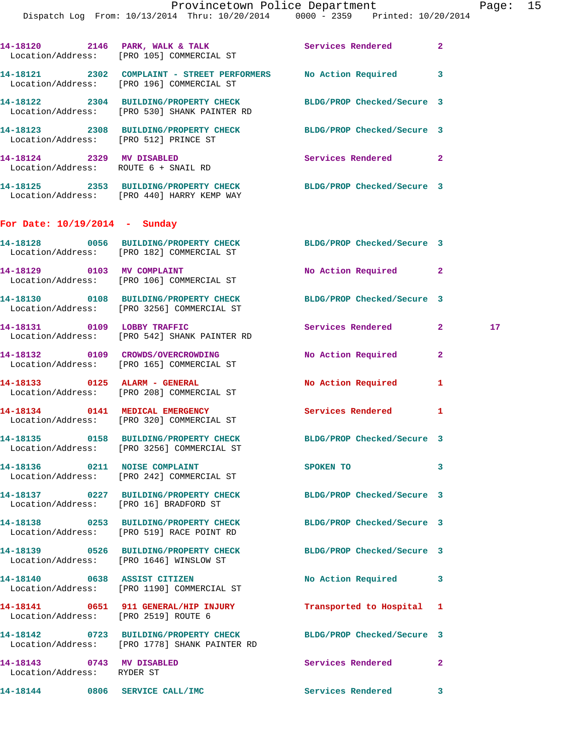|                                                         | 14-18120 2146 PARK, WALK & TALK<br>Location/Address: [PRO 105] COMMERCIAL ST                                     | Services Rendered          | $\mathbf{2}$ |    |
|---------------------------------------------------------|------------------------------------------------------------------------------------------------------------------|----------------------------|--------------|----|
|                                                         | 14-18121 2302 COMPLAINT - STREET PERFORMERS No Action Required 3<br>Location/Address: [PRO 196] COMMERCIAL ST    |                            |              |    |
|                                                         | 14-18122 2304 BUILDING/PROPERTY CHECK BLDG/PROP Checked/Secure 3<br>Location/Address: [PRO 530] SHANK PAINTER RD |                            |              |    |
|                                                         | 14-18123 2308 BUILDING/PROPERTY CHECK BLDG/PROP Checked/Secure 3<br>Location/Address: [PRO 512] PRINCE ST        |                            |              |    |
|                                                         | 14-18124 2329 MV DISABLED<br>Location/Address: ROUTE 6 + SNAIL RD                                                | Services Rendered 2        |              |    |
|                                                         | 14-18125 2353 BUILDING/PROPERTY CHECK BLDG/PROP Checked/Secure 3<br>Location/Address: [PRO 440] HARRY KEMP WAY   |                            |              |    |
| For Date: $10/19/2014$ - Sunday                         |                                                                                                                  |                            |              |    |
|                                                         | 14-18128 0056 BUILDING/PROPERTY CHECK BLDG/PROP Checked/Secure 3<br>Location/Address: [PRO 182] COMMERCIAL ST    |                            |              |    |
|                                                         | 14-18129 0103 MV COMPLAINT<br>Location/Address: [PRO 106] COMMERCIAL ST                                          | No Action Required 2       |              |    |
|                                                         | 14-18130 0108 BUILDING/PROPERTY CHECK BLDG/PROP Checked/Secure 3<br>Location/Address: [PRO 3256] COMMERCIAL ST   |                            |              |    |
|                                                         | 14-18131 0109 LOBBY TRAFFIC<br>Location/Address: [PRO 542] SHANK PAINTER RD                                      | Services Rendered 2        |              | 17 |
|                                                         | Location/Address: [PRO 165] COMMERCIAL ST                                                                        |                            | $\mathbf{2}$ |    |
|                                                         | 14-18133 0125 ALARM - GENERAL<br>Location/Address: [PRO 208] COMMERCIAL ST                                       | No Action Required         | 1            |    |
|                                                         | 14-18134 0141 MEDICAL EMERGENCY<br>Location/Address: [PRO 320] COMMERCIAL ST                                     | Services Rendered          | 1            |    |
|                                                         | 14-18135 0158 BUILDING/PROPERTY CHECK<br>Location/Address: [PRO 3256] COMMERCIAL ST                              | BLDG/PROP Checked/Secure 3 |              |    |
|                                                         | 14-18136 0211 NOISE COMPLAINT<br>Location/Address: [PRO 242] COMMERCIAL ST                                       | SPOKEN TO                  | 3            |    |
|                                                         | 14-18137 0227 BUILDING/PROPERTY CHECK<br>Location/Address: [PRO 16] BRADFORD ST                                  | BLDG/PROP Checked/Secure 3 |              |    |
|                                                         | 14-18138 0253 BUILDING/PROPERTY CHECK<br>Location/Address: [PRO 519] RACE POINT RD                               | BLDG/PROP Checked/Secure 3 |              |    |
|                                                         | 14-18139 0526 BUILDING/PROPERTY CHECK<br>Location/Address: [PRO 1646] WINSLOW ST                                 | BLDG/PROP Checked/Secure 3 |              |    |
|                                                         | 14-18140 0638 ASSIST CITIZEN<br>Location/Address: [PRO 1190] COMMERCIAL ST                                       | No Action Required 3       |              |    |
|                                                         | 14-18141 0651 911 GENERAL/HIP INJURY<br>Location/Address: [PRO 2519] ROUTE 6                                     | Transported to Hospital 1  |              |    |
|                                                         | 14-18142 0723 BUILDING/PROPERTY CHECK<br>Location/Address: [PRO 1778] SHANK PAINTER RD                           | BLDG/PROP Checked/Secure 3 |              |    |
| 14-18143 0743 MV DISABLED<br>Location/Address: RYDER ST |                                                                                                                  | Services Rendered          | $\mathbf{2}$ |    |
|                                                         | 14-18144 0806 SERVICE CALL/IMC                                                                                   | Services Rendered          | 3            |    |
|                                                         |                                                                                                                  |                            |              |    |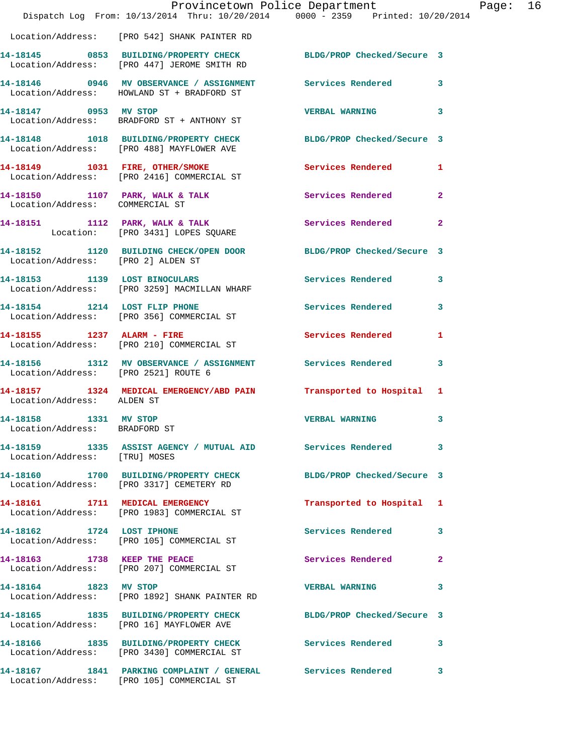|                                                        | Dispatch Log From: 10/13/2014 Thru: 10/20/2014 0000 - 2359 Printed: 10/20/2014                                  | Provincetown Police Department Page: 16 |              |  |
|--------------------------------------------------------|-----------------------------------------------------------------------------------------------------------------|-----------------------------------------|--------------|--|
|                                                        | Location/Address: [PRO 542] SHANK PAINTER RD                                                                    |                                         |              |  |
|                                                        | 14-18145 0853 BUILDING/PROPERTY CHECK BLDG/PROP Checked/Secure 3<br>Location/Address: [PRO 447] JEROME SMITH RD |                                         |              |  |
|                                                        | 14-18146  0946 MV OBSERVANCE / ASSIGNMENT Services Rendered 3<br>Location/Address: HOWLAND ST + BRADFORD ST     |                                         |              |  |
| 14-18147 0953 MV STOP                                  | Location/Address: BRADFORD ST + ANTHONY ST                                                                      | VERBAL WARNING 3                        |              |  |
|                                                        | 14-18148 1018 BUILDING/PROPERTY CHECK BLDG/PROP Checked/Secure 3<br>Location/Address: [PRO 488] MAYFLOWER AVE   |                                         |              |  |
|                                                        | 14-18149 1031 FIRE, OTHER/SMOKE Services Rendered 1<br>Location/Address: [PRO 2416] COMMERCIAL ST               |                                         |              |  |
| Location/Address: COMMERCIAL ST                        | 14-18150 1107 PARK, WALK & TALK 1988 Services Rendered                                                          |                                         | $\mathbf{2}$ |  |
|                                                        | 14-18151 1112 PARK, WALK & TALK 1997 Services Rendered<br>Location: [PRO 3431] LOPES SQUARE                     |                                         | $\mathbf{2}$ |  |
|                                                        | 14-18152 1120 BUILDING CHECK/OPEN DOOR BLDG/PROP Checked/Secure 3<br>Location/Address: [PRO 2] ALDEN ST         |                                         |              |  |
|                                                        | 14-18153 1139 LOST BINOCULARS<br>Location/Address: [PRO 3259] MACMILLAN WHARF                                   | Services Rendered                       | $\mathbf{3}$ |  |
|                                                        | 14-18154 1214 LOST FLIP PHONE<br>Location/Address: [PRO 356] COMMERCIAL ST                                      | Services Rendered                       | $\mathbf{3}$ |  |
|                                                        | 14-18155 1237 ALARM - FIRE<br>Location/Address: [PRO 210] COMMERCIAL ST                                         | Services Rendered                       | 1            |  |
| Location/Address: [PRO 2521] ROUTE 6                   | 14-18156 1312 MV OBSERVANCE / ASSIGNMENT Services Rendered 3                                                    |                                         |              |  |
| Location/Address: ALDEN ST                             | 14-18157 1324 MEDICAL EMERGENCY/ABD PAIN Transported to Hospital 1                                              |                                         |              |  |
| 14-18158 1331 MV STOP<br>Location/Address: BRADFORD ST |                                                                                                                 | <b>VERBAL WARNING</b>                   | 3            |  |
| Location/Address: [TRU] MOSES                          | 14-18159 1335 ASSIST AGENCY / MUTUAL AID Services Rendered                                                      |                                         | 3            |  |
|                                                        | 14-18160 1700 BUILDING/PROPERTY CHECK<br>Location/Address: [PRO 3317] CEMETERY RD                               | BLDG/PROP Checked/Secure 3              |              |  |
|                                                        | 14-18161 1711 MEDICAL EMERGENCY<br>Location/Address: [PRO 1983] COMMERCIAL ST                                   | Transported to Hospital 1               |              |  |
|                                                        | 14-18162 1724 LOST IPHONE<br>Location/Address: [PRO 105] COMMERCIAL ST                                          | Services Rendered                       | 3            |  |
|                                                        | 14-18163 1738 KEEP THE PEACE<br>Location/Address: [PRO 207] COMMERCIAL ST                                       | Services Rendered                       | 2            |  |
| 14-18164 1823 MV STOP                                  | Location/Address: [PRO 1892] SHANK PAINTER RD                                                                   | <b>VERBAL WARNING</b>                   | 3            |  |
|                                                        | 14-18165 1835 BUILDING/PROPERTY CHECK BLDG/PROP Checked/Secure 3<br>Location/Address: [PRO 16] MAYFLOWER AVE    |                                         |              |  |
|                                                        | 14-18166 1835 BUILDING/PROPERTY CHECK Services Rendered 3<br>Location/Address: [PRO 3430] COMMERCIAL ST         |                                         |              |  |
|                                                        | 14-18167 1841 PARKING COMPLAINT / GENERAL Services Rendered<br>Location/Address: [PRO 105] COMMERCIAL ST        |                                         | 3            |  |